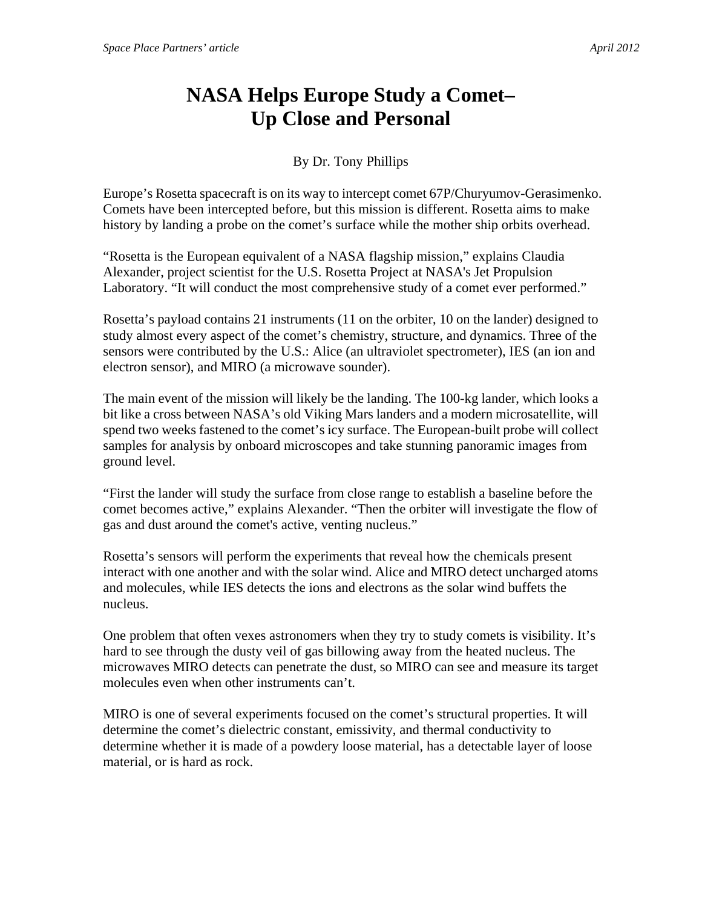## **NASA Helps Europe Study a Comet– Up Close and Personal**

By Dr. Tony Phillips

Europe's Rosetta spacecraft is on its way to intercept comet 67P/Churyumov-Gerasimenko. Comets have been intercepted before, but this mission is different. Rosetta aims to make history by landing a probe on the comet's surface while the mother ship orbits overhead.

"Rosetta is the European equivalent of a NASA flagship mission," explains Claudia Alexander, project scientist for the U.S. Rosetta Project at NASA's Jet Propulsion Laboratory. "It will conduct the most comprehensive study of a comet ever performed."

Rosetta's payload contains 21 instruments (11 on the orbiter, 10 on the lander) designed to study almost every aspect of the comet's chemistry, structure, and dynamics. Three of the sensors were contributed by the U.S.: Alice (an ultraviolet spectrometer), IES (an ion and electron sensor), and MIRO (a microwave sounder).

The main event of the mission will likely be the landing. The 100-kg lander, which looks a bit like a cross between NASA's old Viking Mars landers and a modern microsatellite, will spend two weeks fastened to the comet's icy surface. The European-built probe will collect samples for analysis by onboard microscopes and take stunning panoramic images from ground level.

"First the lander will study the surface from close range to establish a baseline before the comet becomes active," explains Alexander. "Then the orbiter will investigate the flow of gas and dust around the comet's active, venting nucleus."

Rosetta's sensors will perform the experiments that reveal how the chemicals present interact with one another and with the solar wind. Alice and MIRO detect uncharged atoms and molecules, while IES detects the ions and electrons as the solar wind buffets the nucleus.

One problem that often vexes astronomers when they try to study comets is visibility. It's hard to see through the dusty veil of gas billowing away from the heated nucleus. The microwaves MIRO detects can penetrate the dust, so MIRO can see and measure its target molecules even when other instruments can't.

MIRO is one of several experiments focused on the comet's structural properties. It will determine the comet's dielectric constant, emissivity, and thermal conductivity to determine whether it is made of a powdery loose material, has a detectable layer of loose material, or is hard as rock.